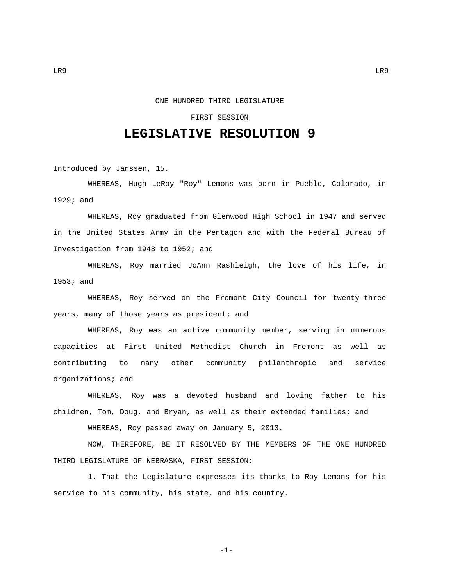## ONE HUNDRED THIRD LEGISLATURE

## FIRST SESSION

## **LEGISLATIVE RESOLUTION 9**

Introduced by Janssen, 15.

WHEREAS, Hugh LeRoy "Roy" Lemons was born in Pueblo, Colorado, in 1929; and

WHEREAS, Roy graduated from Glenwood High School in 1947 and served in the United States Army in the Pentagon and with the Federal Bureau of Investigation from 1948 to 1952; and

WHEREAS, Roy married JoAnn Rashleigh, the love of his life, in 1953; and

WHEREAS, Roy served on the Fremont City Council for twenty-three years, many of those years as president; and

WHEREAS, Roy was an active community member, serving in numerous capacities at First United Methodist Church in Fremont as well as contributing to many other community philanthropic and service organizations; and

WHEREAS, Roy was a devoted husband and loving father to his children, Tom, Doug, and Bryan, as well as their extended families; and

WHEREAS, Roy passed away on January 5, 2013.

NOW, THEREFORE, BE IT RESOLVED BY THE MEMBERS OF THE ONE HUNDRED THIRD LEGISLATURE OF NEBRASKA, FIRST SESSION:

1. That the Legislature expresses its thanks to Roy Lemons for his service to his community, his state, and his country.